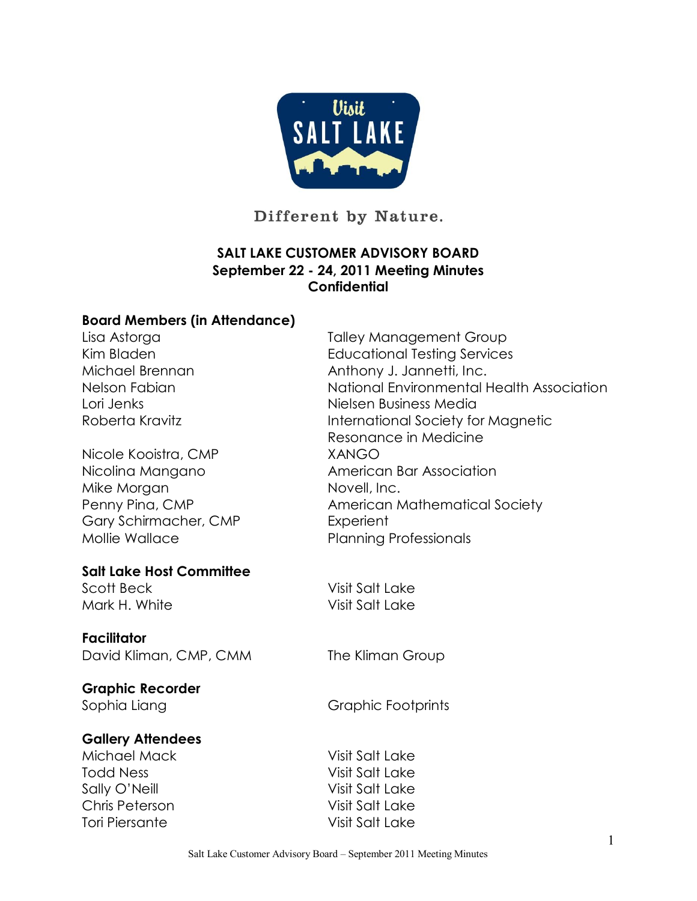

Different by Nature.

## **SALT LAKE CUSTOMER ADVISORY BOARD September 22 24, 2011 Meeting Minutes Confidential**

#### **Board Members (in Attendance)**

Nicole Kooistra, CMP XANGO Gary Schirmacher, CMP Experient Mollie Wallace Planning Professionals

#### **Salt Lake Host Committee**

Mark H. White Visit Salt Lake

#### **Facilitator**

David Kliman, CMP, CMM The Kliman Group

# **Graphic Recorder**

#### **Gallery Attendees**

Michael Mack Visit Salt Lake Todd Ness Visit Salt Lake Sally O'Neill Visit Salt Lake Chris Peterson Visit Salt Lake Tori Piersante Visit Salt Lake

Lisa Astorga Talley Management Group Kim Bladen Educational Testing Services Michael Brennan Anthony J. Jannetti, Inc. Nelson Fabian National Environmental Health Association Lori Jenks Nielsen Business Media Roberta Kravitz **International Society for Magnetic** Resonance in Medicine Nicolina Mangano **American Bar Association** Mike Morgan Novell, Inc.<br>
Penny Pina, CMP American Mathematical Society

Scott Beck Visit Salt Lake

Sophia Liang Graphic Footprints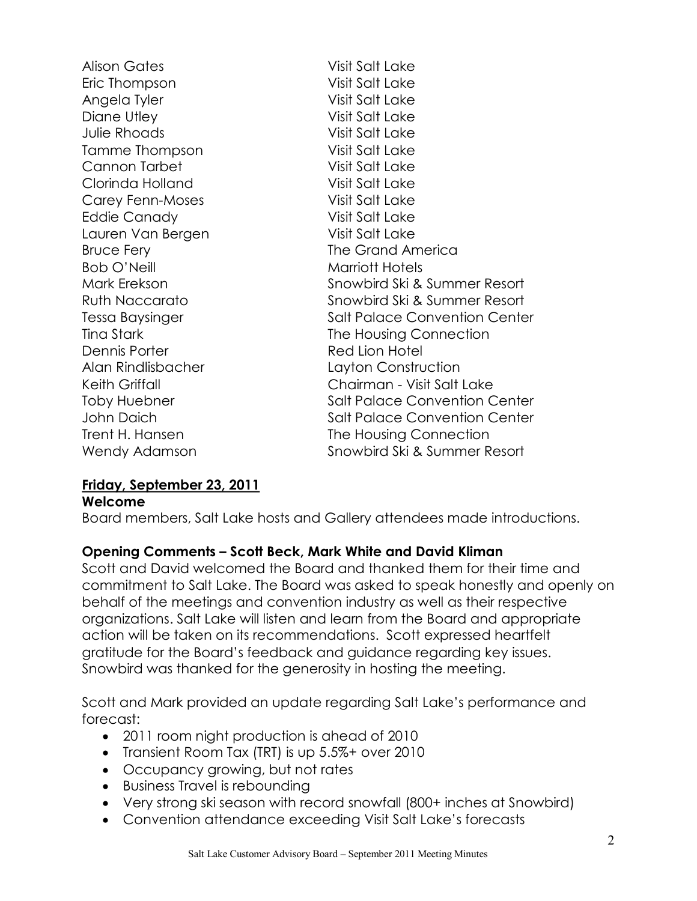Alison Gates Visit Salt Lake Eric Thompson Visit Salt Lake Angela Tyler Visit Salt Lake Diane Utley Nisit Salt Lake Julie Rhoads Visit Salt Lake Tamme Thompson Visit Salt Lake Cannon Tarbet Visit Salt Lake Clorinda Holland Visit Salt Lake Carey Fenn-Moses Visit Salt Lake Eddie Canady Visit Salt Lake Lauren Van Bergen Visit Salt Lake Bruce Fery **The Grand America** Bob O'Neill **Marriott Hotels** Mark Erekson Snowbird Ski & Summer Resort Ruth Naccarato **Snowbird Ski & Summer Resort** Tessa Baysinger Salt Palace Convention Center Tina Stark Tina Stark The Housing Connection Dennis Porter **Red Lion Hotel** Alan Rindlisbacher Layton Construction Keith Griffall **Chairman - Visit Salt Lake** Toby Huebner **Salt Palace Convention Center** John Daich Salt Palace Convention Center Trent H. Hansen The Housing Connection Wendy Adamson Snowbird Ski & Summer Resort

#### **Friday, September 23, 2011**

#### **Welcome**

Board members, Salt Lake hosts and Gallery attendees made introductions.

## **Opening Comments – Scott Beck, Mark White and David Kliman**

Scott and David welcomed the Board and thanked them for their time and commitment to Salt Lake. The Board was asked to speak honestly and openly on behalf of the meetings and convention industry as well as their respective organizations. Salt Lake will listen and learn from the Board and appropriate action will be taken on its recommendations. Scott expressed heartfelt gratitude for the Board's feedback and guidance regarding key issues. Snowbird was thanked for the generosity in hosting the meeting.

Scott and Mark provided an update regarding Salt Lake's performance and forecast:

- · 2011 room night production is ahead of 2010
- · Transient Room Tax (TRT) is up 5.5%+ over 2010
- · Occupancy growing, but not rates
- · Business Travel is rebounding
- · Very strong ski season with record snowfall (800+ inches at Snowbird)
- · Convention attendance exceeding Visit Salt Lake's forecasts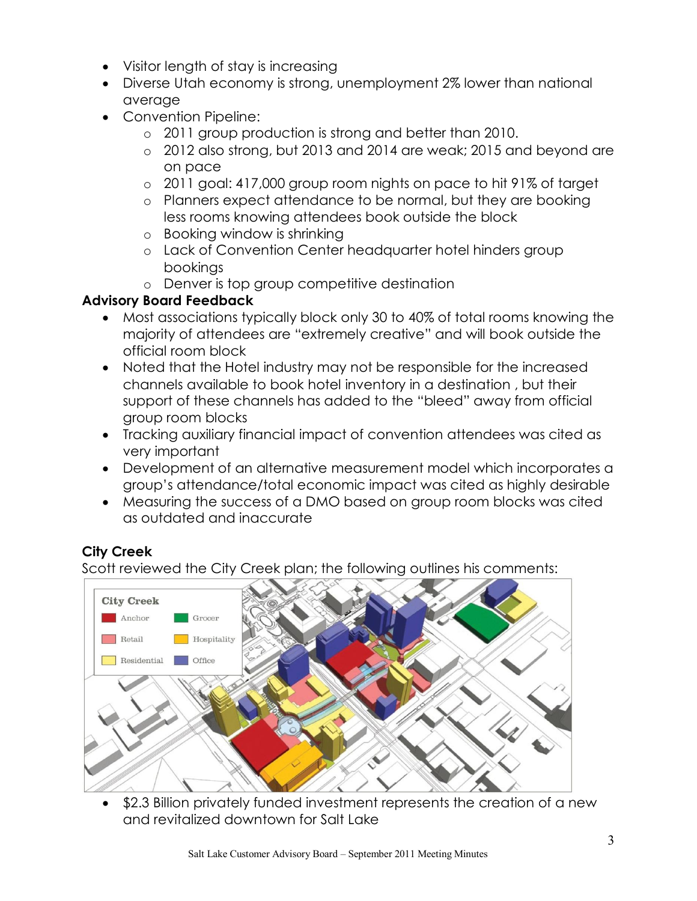- · Visitor length of stay is increasing
- · Diverse Utah economy is strong, unemployment 2% lower than national average
- · Convention Pipeline:
	- o 2011 group production is strong and better than 2010.
	- o 2012 also strong, but 2013 and 2014 are weak; 2015 and beyond are on pace
	- o 2011 goal: 417,000 group room nights on pace to hit 91% of target
	- o Planners expect attendance to be normal, but they are booking less rooms knowing attendees book outside the block
	- o Booking window is shrinking
	- o Lack of Convention Center headquarter hotel hinders group bookings
	- o Denver is top group competitive destination

## **Advisory Board Feedback**

- · Most associations typically block only 30 to 40% of total rooms knowing the majority of attendees are "extremely creative" and will book outside the official room block
- · Noted that the Hotel industry may not be responsible for the increased channels available to book hotel inventory in a destination , but their support of these channels has added to the "bleed" away from official group room blocks
- · Tracking auxiliary financial impact of convention attendees was cited as very important
- · Development of an alternative measurement model which incorporates a group's attendance/total economic impact was cited as highly desirable
- · Measuring the success of a DMO based on group room blocks was cited as outdated and inaccurate

# **City Creek**

Scott reviewed the City Creek plan; the following outlines his comments:



\$2.3 Billion privately funded investment represents the creation of a new and revitalized downtown for Salt Lake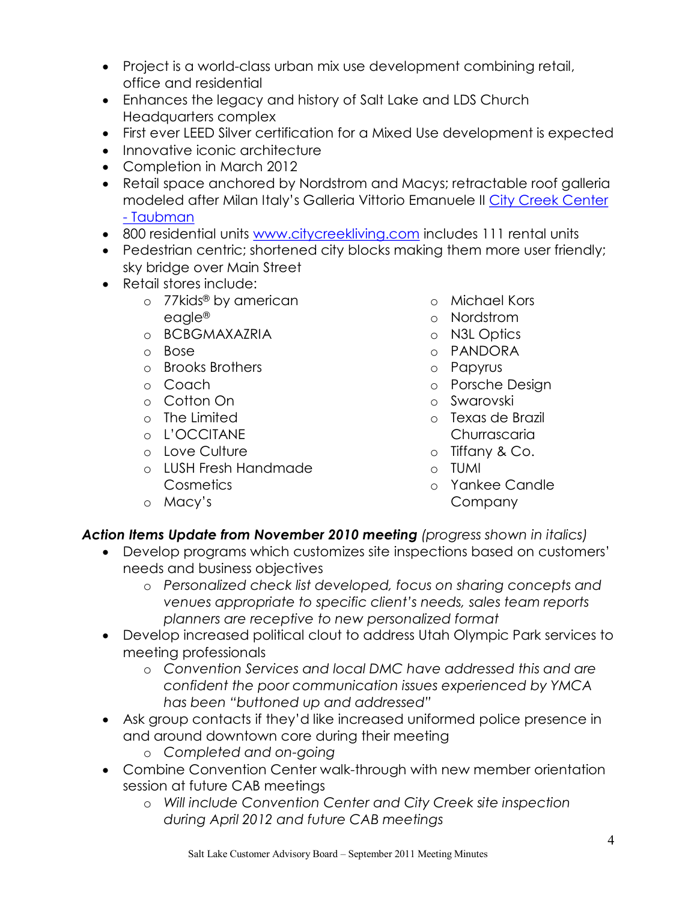- Project is a world-class urban mix use development combining retail, office and residential
- · Enhances the legacy and history of Salt Lake and LDS Church Headquarters complex
- · First ever LEED Silver certification for a Mixed Use development is expected
- Innovative iconic architecture
- Completion in March 2012
- · Retail space anchored by Nordstrom and Macys; retractable roof galleria modeled after Milan [Italy's Galleria Vittorio Emanuele](http://www.taubman.com/leasing/421.html) II City Creek Center - Taubman
- · 800 residential units [www.citycreekliving.com](http://www.citycreekliving.com/) includes 111 rental units
- · Pedestrian centric; shortened city blocks making them more user friendly; sky bridge over Main Street
- · Retail stores include:
	- o 77kids® by american eagle®
	- o BCBGMAXAZRIA
	- o Bose
	- o Brooks Brothers
	- o Coach
	- o Cotton On
	- o The Limited
	- o L'OCCITANE
	- o Love Culture
	- o LUSH Fresh Handmade **Cosmetics**
	- o Macy's
- o Michael Kors
- o Nordstrom
- o N3L Optics
- o PANDORA
- o Papyrus
- o Porsche Design
- o Swarovski
- o Texas de Brazil **Churrascaria**
- o Tiffany & Co.
- o TUMI
- o Yankee Candle Company

## *Action Items Update from November 2010 meeting (progress shown in italics)*

- · Develop programs which customizes site inspections based on customers' needs and business objectives
	- o *Personalized check list developed, focus on sharing concepts and venues appropriate to specific client's needs, sales team reports planners are receptive to new personalized format*
- · Develop increased political clout to address Utah Olympic Park services to meeting professionals
	- o *Convention Services and local DMC have addressed this and are confident the poor communication issues experienced by YMCA has been "buttoned up and addressed"*
- · Ask group contacts if they'd like increased uniformed police presence in and around downtown core during their meeting
	- o **Completed and on-going**
- Combine Convention Center walk-through with new member orientation session at future CAB meetings
	- o *Will include Convention Center and City Creek site inspection during April 2012 and future CAB meetings*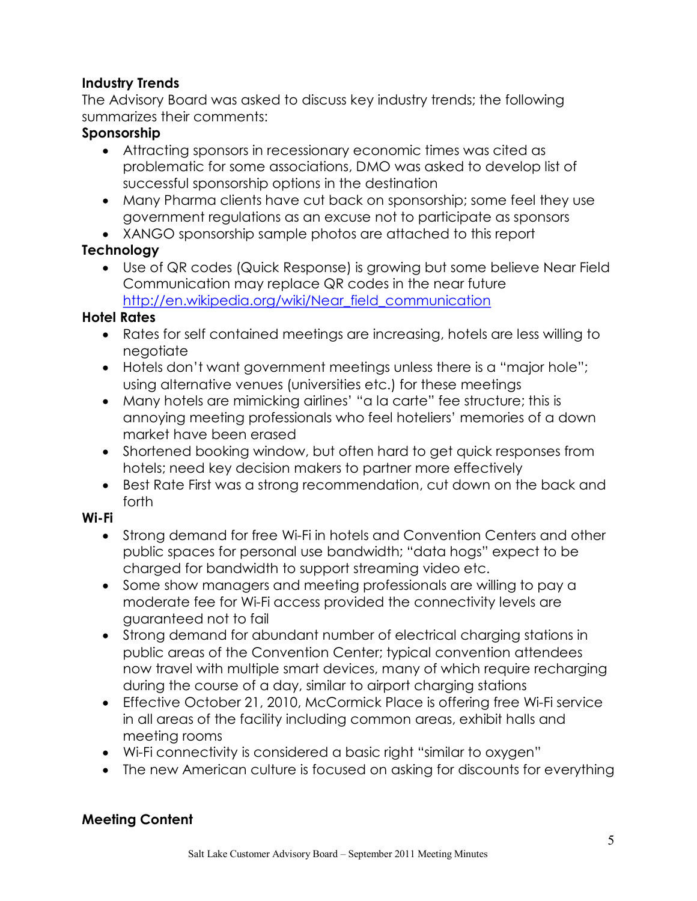## **Industry Trends**

The Advisory Board was asked to discuss key industry trends; the following summarizes their comments:

#### **Sponsorship**

- · Attracting sponsors in recessionary economic times was cited as problematic for some associations, DMO was asked to develop list of successful sponsorship options in the destination
- · Many Pharma clients have cut back on sponsorship; some feel they use government regulations as an excuse not to participate as sponsors
- · XANGO sponsorship sample photos are attached to this report

## **Technology**

· Use of QR codes (Quick Response) is growing but some believe Near Field Communication may replace QR codes in the near future http://en.wikipedia.org/wiki/Near field communication

## **Hotel Rates**

- · Rates for self contained meetings are increasing, hotels are less willing to negotiate
- · Hotels don't want government meetings unless there is a "major hole"; using alternative venues (universities etc.) for these meetings
- · Many hotels are mimicking airlines' "a la carte" fee structure; this is annoying meeting professionals who feel hoteliers' memories of a down market have been erased
- · Shortened booking window, but often hard to get quick responses from hotels; need key decision makers to partner more effectively
- · Best Rate First was a strong recommendation, cut down on the back and forth

## **Wi-Fi**

- Strong demand for free Wi-Fi in hotels and Convention Centers and other public spaces for personal use bandwidth; "data hogs" expect to be charged for bandwidth to support streaming video etc.
- · Some show managers and meeting professionals are willing to pay a moderate fee for WiFi access provided the connectivity levels are guaranteed not to fail
- · Strong demand for abundant number of electrical charging stations in public areas of the Convention Center; typical convention attendees now travel with multiple smart devices, many of which require recharging during the course of a day, similar to airport charging stations
- Effective October 21, 2010, McCormick Place is offering free Wi-Fi service in all areas of the facility including common areas, exhibit halls and meeting rooms
- · WiFi connectivity is considered a basic right "similar to oxygen"
- · The new American culture is focused on asking for discounts for everything

## **Meeting Content**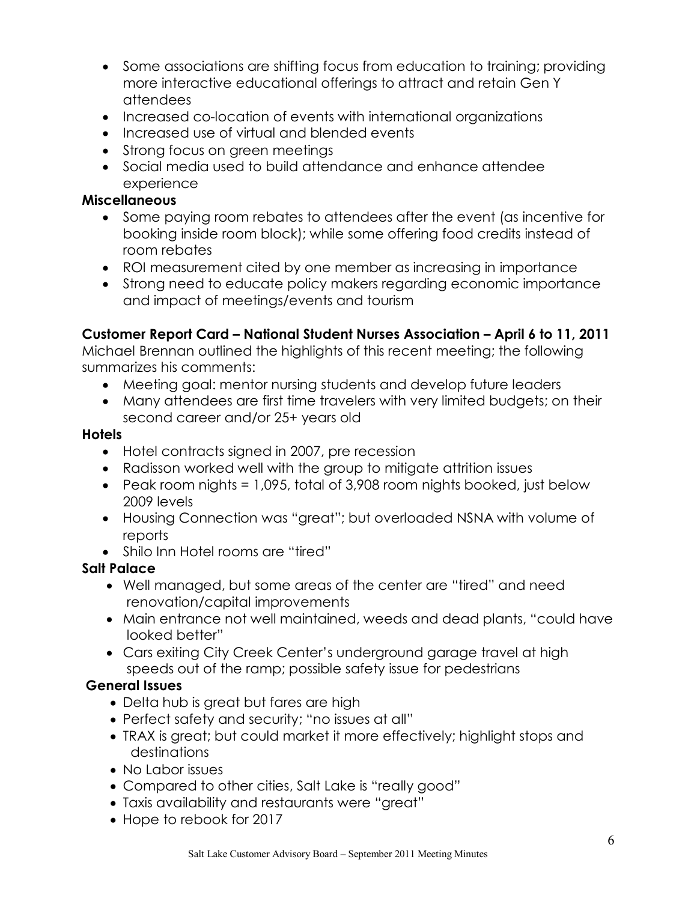- · Some associations are shifting focus from education to training; providing more interactive educational offerings to attract and retain Gen Y attendees
- Increased co-location of events with international organizations
- · Increased use of virtual and blended events
- Strong focus on green meetings
- · Social media used to build attendance and enhance attendee experience

#### **Miscellaneous**

- · Some paying room rebates to attendees after the event (as incentive for booking inside room block); while some offering food credits instead of room rebates
- · ROI measurement cited by one member as increasing in importance
- · Strong need to educate policy makers regarding economic importance and impact of meetings/events and tourism

## **Customer Report Card – National Student Nurses Association – April 6 to 11, 2011**

Michael Brennan outlined the highlights of this recent meeting; the following summarizes his comments:

- · Meeting goal: mentor nursing students and develop future leaders
- · Many attendees are first time travelers with very limited budgets; on their second career and/or 25+ years old

#### **Hotels**

- · Hotel contracts signed in 2007, pre recession
- · Radisson worked well with the group to mitigate attrition issues
- Peak room nights = 1,095, total of 3,908 room nights booked, just below 2009 levels
- · Housing Connection was "great"; but overloaded NSNA with volume of reports
- Shilo Inn Hotel rooms are "tired"

## **Salt Palace**

- · Well managed, but some areas of the center are "tired" and need renovation/capital improvements
- · Main entrance not well maintained, weeds and dead plants, "could have looked better"
- · Cars exiting City Creek Center's underground garage travel at high speeds out of the ramp; possible safety issue for pedestrians

## **General Issues**

- · Delta hub is great but fares are high
- · Perfect safety and security; "no issues at all"
- · TRAX is great; but could market it more effectively; highlight stops and destinations
- · No Labor issues
- · Compared to other cities, Salt Lake is "really good"
- · Taxis availability and restaurants were "great"
- · Hope to rebook for 2017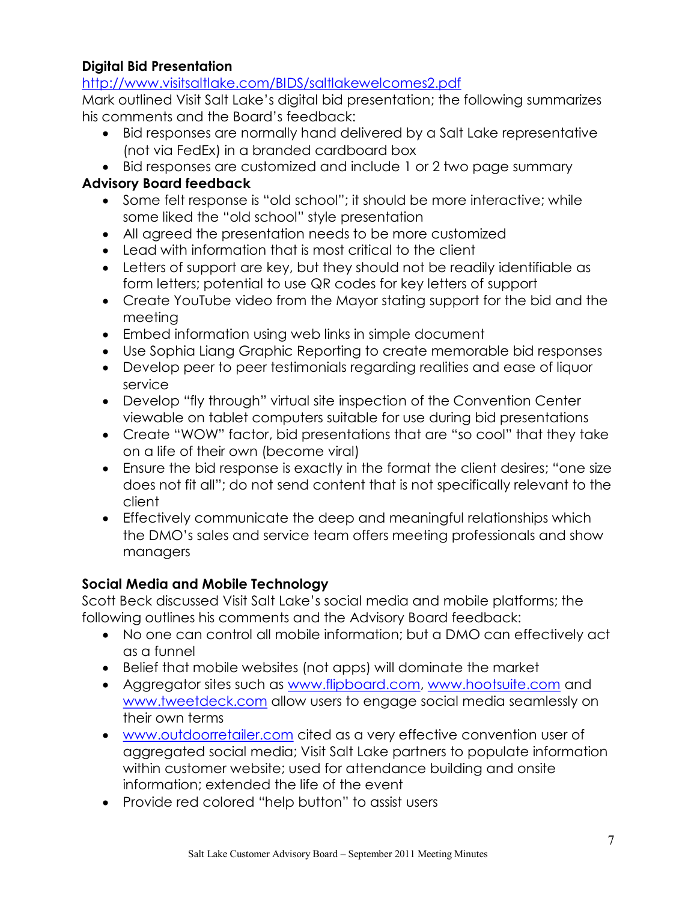#### **Digital Bid Presentation**

<http://www.visitsaltlake.com/BIDS/saltlakewelcomes2.pdf>

Mark outlined Visit Salt Lake's digital bid presentation; the following summarizes his comments and the Board's feedback:

- · Bid responses are normally hand delivered by a Salt Lake representative (not via FedEx) in a branded cardboard box
- · Bid responses are customized and include 1 or 2 two page summary

## **Advisory Board feedback**

- · Some felt response is "old school"; it should be more interactive; while some liked the "old school" style presentation
- · All agreed the presentation needs to be more customized
- · Lead with information that is most critical to the client
- · Letters of support are key, but they should not be readily identifiable as form letters; potential to use QR codes for key letters of support
- · Create YouTube video from the Mayor stating support for the bid and the meeting
- · Embed information using web links in simple document
- · Use Sophia Liang Graphic Reporting to create memorable bid responses
- · Develop peer to peer testimonials regarding realities and ease of liquor service
- · Develop "fly through" virtual site inspection of the Convention Center viewable on tablet computers suitable for use during bid presentations
- · Create "WOW" factor, bid presentations that are "so cool" that they take on a life of their own (become viral)
- · Ensure the bid response is exactly in the format the client desires; "one size does not fit all"; do not send content that is not specifically relevant to the client
- · Effectively communicate the deep and meaningful relationships which the DMO's sales and service team offers meeting professionals and show managers

# **Social Media and Mobile Technology**

Scott Beck discussed Visit Salt Lake's social media and mobile platforms; the following outlines his comments and the Advisory Board feedback:

- · No one can control all mobile information; but a DMO can effectively act as a funnel
- · Belief that mobile websites (not apps) will dominate the market
- · Aggregator sites such as [www.flipboard.com](http://www.flipboard.com/), [www.hootsuite.com](http://www.hootsuite.com/) and www.tweetdeck.com [allow users to engage social media seamles](http://www.tweetdeck.com/)sly on their own terms
- · [www.outdoorretailer.com](http://www.outdoorretailer.com/) cited as a very effective convention user of aggregated social media; Visit Salt Lake partners to populate information within customer website; used for attendance building and onsite information; extended the life of the event
- · Provide red colored "help button" to assist users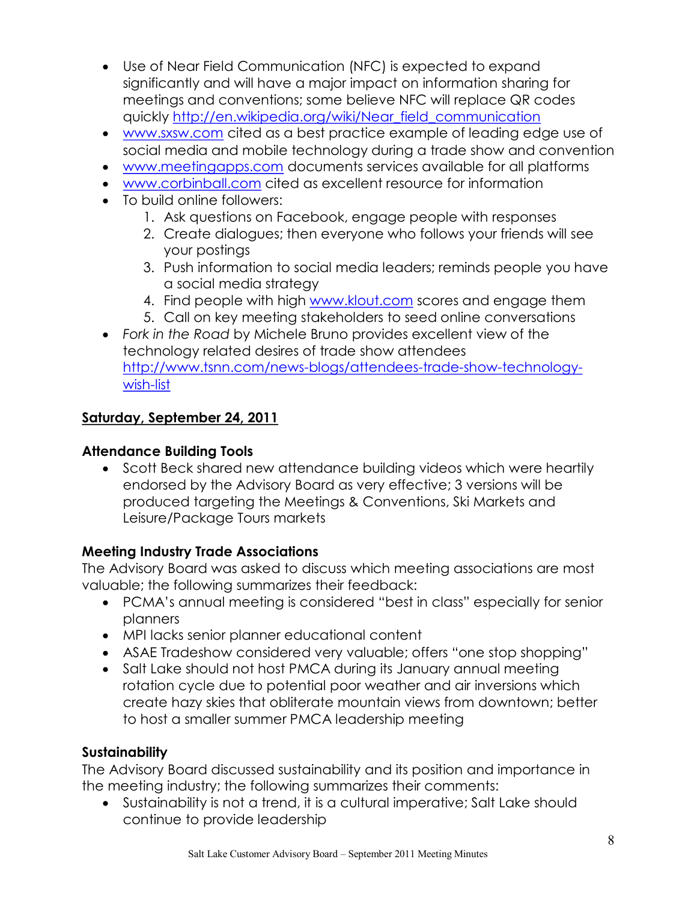- · Use of Near Field Communication (NFC) is expected to expand significantly and will have a major impact on information sharing for meetings and conventions; some believe NFC will replace QR codes quickly [http://en.wikipedia.org/wiki/Near\\_field\\_communication](http://en.wikipedia.org/wiki/Near_field_communication)
- · [www.sxsw.com](http://www.sxsw.com/) cited as a best practice example of leading edge use of social media and mobile technology during a trade show and convention
- · [www.meetingapps.com](http://www.meetingapps.com/) documents services available for all platforms
- · [www.corbinball.com](http://www.corbinball.com/) cited as excellent resource for information
- · To build online followers:
	- 1. Ask questions on Facebook, engage people with responses
	- 2. Create dialogues; then everyone who follows your friends will see your postings
	- 3. Push information to social media leaders; reminds people you have a social media strategy
	- 4. Find people with high [www.klout.com](http://www.klout.com/) scores and engage them
	- 5. Call on key meeting stakeholders to seed online conversations
- · *Fork in the Road* by Michele Bruno provides excellent view of the technology related desires of trade show attendees http://www.tsnn.com/news-blogs/attendees-trade-show-technologywish-list

## **Saturday, September 24, 2011**

#### **Attendance Building Tools**

· Scott Beck shared new attendance building videos which were heartily endorsed by the Advisory Board as very effective; 3 versions will be produced targeting the Meetings & Conventions, Ski Markets and Leisure/Package Tours markets

#### **Meeting Industry Trade Associations**

The Advisory Board was asked to discuss which meeting associations are most valuable; the following summarizes their feedback:

- · PCMA's annual meeting is considered "best in class" especially for senior planners
- · MPI lacks senior planner educational content
- · ASAE Tradeshow considered very valuable; offers "one stop shopping"
- · Salt Lake should not host PMCA during its January annual meeting rotation cycle due to potential poor weather and air inversions which create hazy skies that obliterate mountain views from downtown; better to host a smaller summer PMCA leadership meeting

#### **Sustainability**

The Advisory Board discussed sustainability and its position and importance in the meeting industry; the following summarizes their comments:

· Sustainability is not a trend, it is a cultural imperative; Salt Lake should continue to provide leadership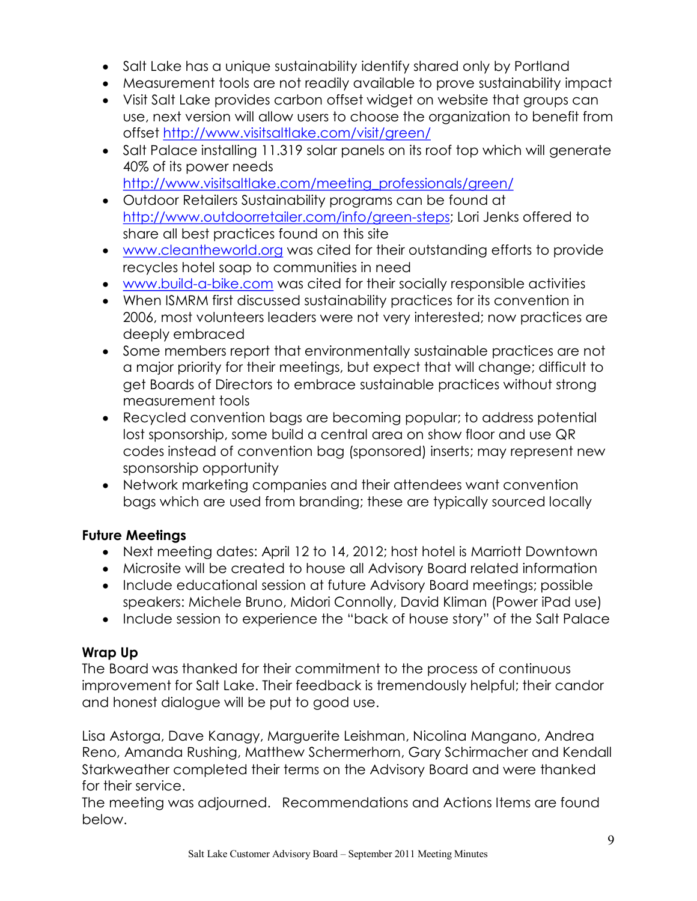- · Salt Lake has a unique sustainability identify shared only by Portland
- · Measurement tools are not readily available to prove sustainability impact
- · Visit Salt Lake provides carbon offset widget on website that groups can use, next version will allow users to choose the organization to benefit from offset <http://www.visitsaltlake.com/visit/green/>
- · Salt Palace installing 11.319 solar panels on its roof top which will generate 40% of its power needs [http://www.visitsaltlake.com/meeting\\_professionals/green/](http://www.visitsaltlake.com/meeting_professionals/green/)
- · Outdoor Retailers Sustainability programs can be found at http://www.outdoorretailer.com/info/green-steps; Lori Jenks offered to share all best practices found on this site
- · [www.cleantheworld.org](http://www.cleantheworld.org/) was cited for their outstanding efforts to provide recycles hotel soap to communities in need
- www.build-a-bike.com was cited for their socially responsible activities
- · When ISMRM first discussed sustainability practices for its convention in 2006, most volunteers leaders were not very interested; now practices are deeply embraced
- · Some members report that environmentally sustainable practices are not a major priority for their meetings, but expect that will change; difficult to get Boards of Directors to embrace sustainable practices without strong measurement tools
- · Recycled convention bags are becoming popular; to address potential lost sponsorship, some build a central area on show floor and use QR codes instead of convention bag (sponsored) inserts; may represent new sponsorship opportunity
- · Network marketing companies and their attendees want convention bags which are used from branding; these are typically sourced locally

## **Future Meetings**

- · Next meeting dates: April 12 to 14, 2012; host hotel is Marriott Downtown
- · Microsite will be created to house all Advisory Board related information
- · Include educational session at future Advisory Board meetings; possible speakers: Michele Bruno, Midori Connolly, David Kliman (Power iPad use)
- · Include session to experience the "back of house story" of the Salt Palace

## **Wrap Up**

The Board was thanked for their commitment to the process of continuous improvement for Salt Lake. Their feedback is tremendously helpful; their candor and honest dialogue will be put to good use.

Lisa Astorga, Dave Kanagy, Marguerite Leishman, Nicolina Mangano, Andrea Reno, Amanda Rushing, Matthew Schermerhorn, Gary Schirmacher and Kendall Starkweather completed their terms on the Advisory Board and were thanked for their service.<br>The meeting was adjourned. Recommendations and Actions Items are found

below.